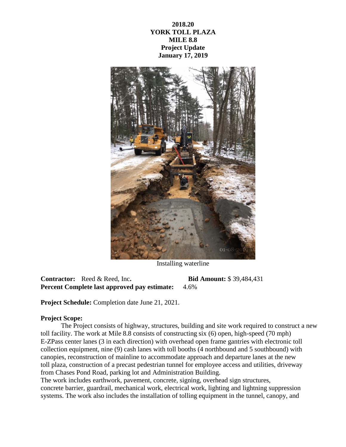**2018.20 YORK TOLL PLAZA MILE 8.8 Project Update January 17, 2019**



Installing waterline

**Contractor:** Reed & Reed, Inc**. Bid Amount:** \$ 39,484,431 **Percent Complete last approved pay estimate:** 4.6%

**Project Schedule:** Completion date June 21, 2021.

## **Project Scope:**

The Project consists of highway, structures, building and site work required to construct a new toll facility. The work at Mile 8.8 consists of constructing six (6) open, high-speed (70 mph) E-ZPass center lanes (3 in each direction) with overhead open frame gantries with electronic toll collection equipment, nine (9) cash lanes with toll booths (4 northbound and 5 southbound) with canopies, reconstruction of mainline to accommodate approach and departure lanes at the new toll plaza, construction of a precast pedestrian tunnel for employee access and utilities, driveway from Chases Pond Road, parking lot and Administration Building.

The work includes earthwork, pavement, concrete, signing, overhead sign structures, concrete barrier, guardrail, mechanical work, electrical work, lighting and lightning suppression systems. The work also includes the installation of tolling equipment in the tunnel, canopy, and